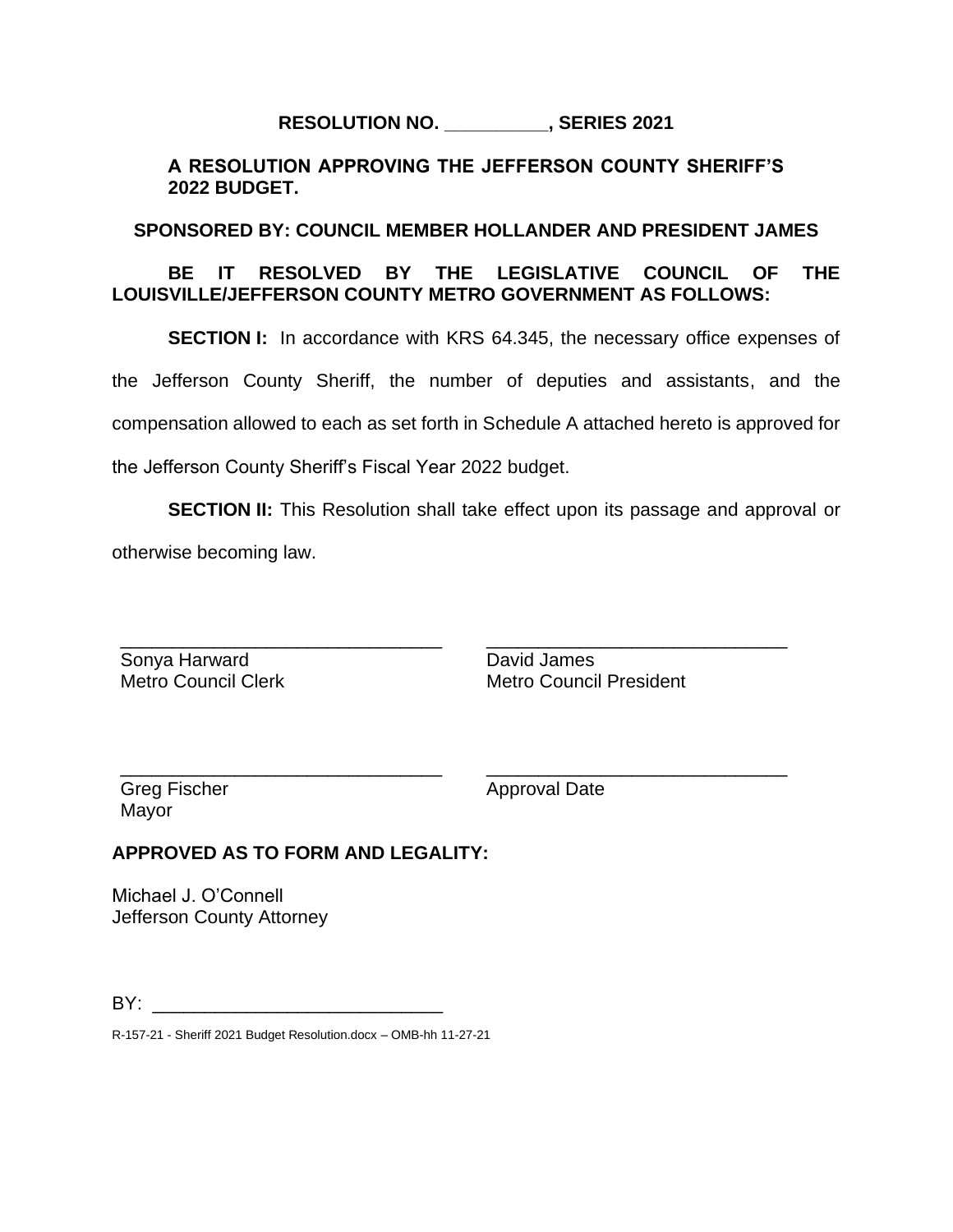# **RESOLUTION NO. \_\_\_\_\_\_\_\_\_\_, SERIES 2021**

### **A RESOLUTION APPROVING THE JEFFERSON COUNTY SHERIFF'S 2022 BUDGET.**

### **SPONSORED BY: COUNCIL MEMBER HOLLANDER AND PRESIDENT JAMES**

### **BE IT RESOLVED BY THE LEGISLATIVE COUNCIL OF THE LOUISVILLE/JEFFERSON COUNTY METRO GOVERNMENT AS FOLLOWS:**

**SECTION I:** In accordance with KRS 64.345, the necessary office expenses of

the Jefferson County Sheriff, the number of deputies and assistants, and the

compensation allowed to each as set forth in Schedule A attached hereto is approved for

the Jefferson County Sheriff's Fiscal Year 2022 budget.

**SECTION II:** This Resolution shall take effect upon its passage and approval or otherwise becoming law.

\_\_\_\_\_\_\_\_\_\_\_\_\_\_\_\_\_\_\_\_\_\_\_\_\_\_\_\_\_\_\_ Sonya Harward Metro Council Clerk

David James Metro Council President

\_\_\_\_\_\_\_\_\_\_\_\_\_\_\_\_\_\_\_\_\_\_\_\_\_\_\_\_\_

\_\_\_\_\_\_\_\_\_\_\_\_\_\_\_\_\_\_\_\_\_\_\_\_\_\_\_\_\_

Greg Fischer Mayor

Approval Date

## **APPROVED AS TO FORM AND LEGALITY:**

\_\_\_\_\_\_\_\_\_\_\_\_\_\_\_\_\_\_\_\_\_\_\_\_\_\_\_\_\_\_\_

Michael J. O'Connell Jefferson County Attorney

 $BY:$ 

R-157-21 - Sheriff 2021 Budget Resolution.docx – OMB-hh 11-27-21